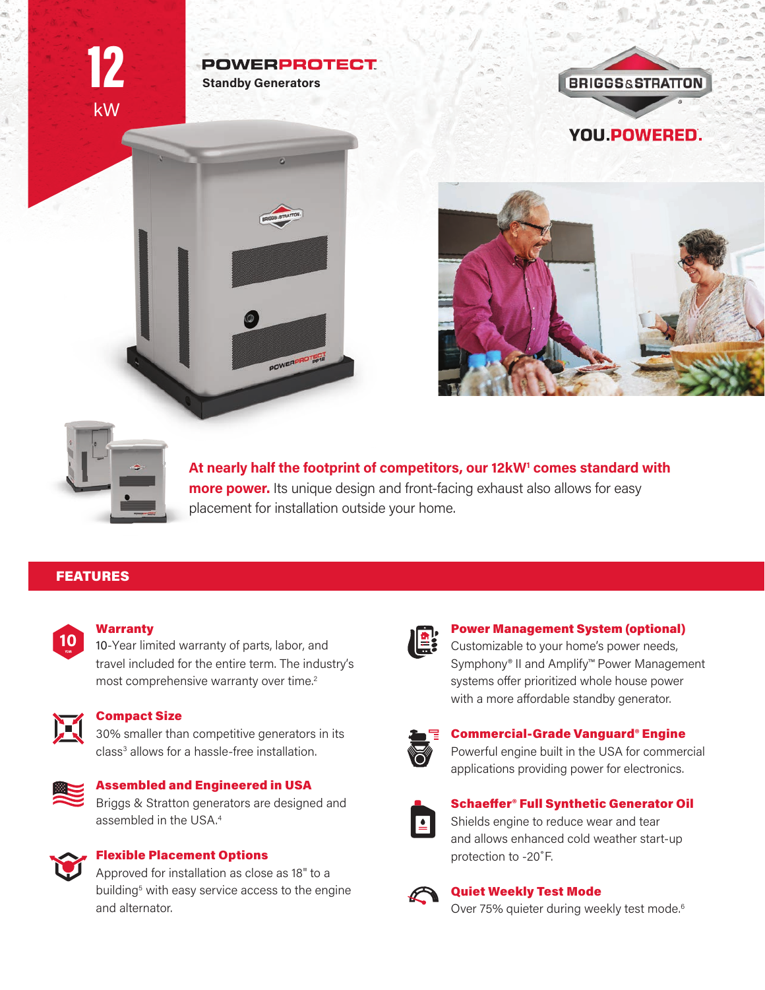kW 12

# **POWERPROTECT Standby Generators**

POWERPROTECT

**BRIGGS&STRATTON YOU POWERED.** 



At nearly half the footprint of competitors, our 12kW<sup>1</sup> comes standard with **more power.** Its unique design and front-facing exhaust also allows for easy placement for installation outside your home.

# FEATURES



#### **Warranty**

10-Year limited warranty of parts, labor, and travel included for the entire term. The industry's most comprehensive warranty over time.<sup>2</sup>



#### Compact Size

30% smaller than competitive generators in its class<sup>3</sup> allows for a hassle-free installation.



## Assembled and Engineered in USA

Briggs & Stratton generators are designed and assembled in the USA.<sup>4</sup>



#### Flexible Placement Options

Approved for installation as close as 18" to a building<sup>5</sup> with easy service access to the engine and alternator.



#### Power Management System (optional)

Customizable to your home's power needs, Symphony® II and Amplify™ Power Management systems offer prioritized whole house power with a more affordable standby generator.



#### Commercial-Grade Vanguard® Engine

Powerful engine built in the USA for commercial applications providing power for electronics.



## Schaeffer® Full Synthetic Generator Oil Shields engine to reduce wear and tear and allows enhanced cold weather start-up protection to -20˚F.



#### Quiet Weekly Test Mode

Over 75% quieter during weekly test mode.<sup>6</sup>